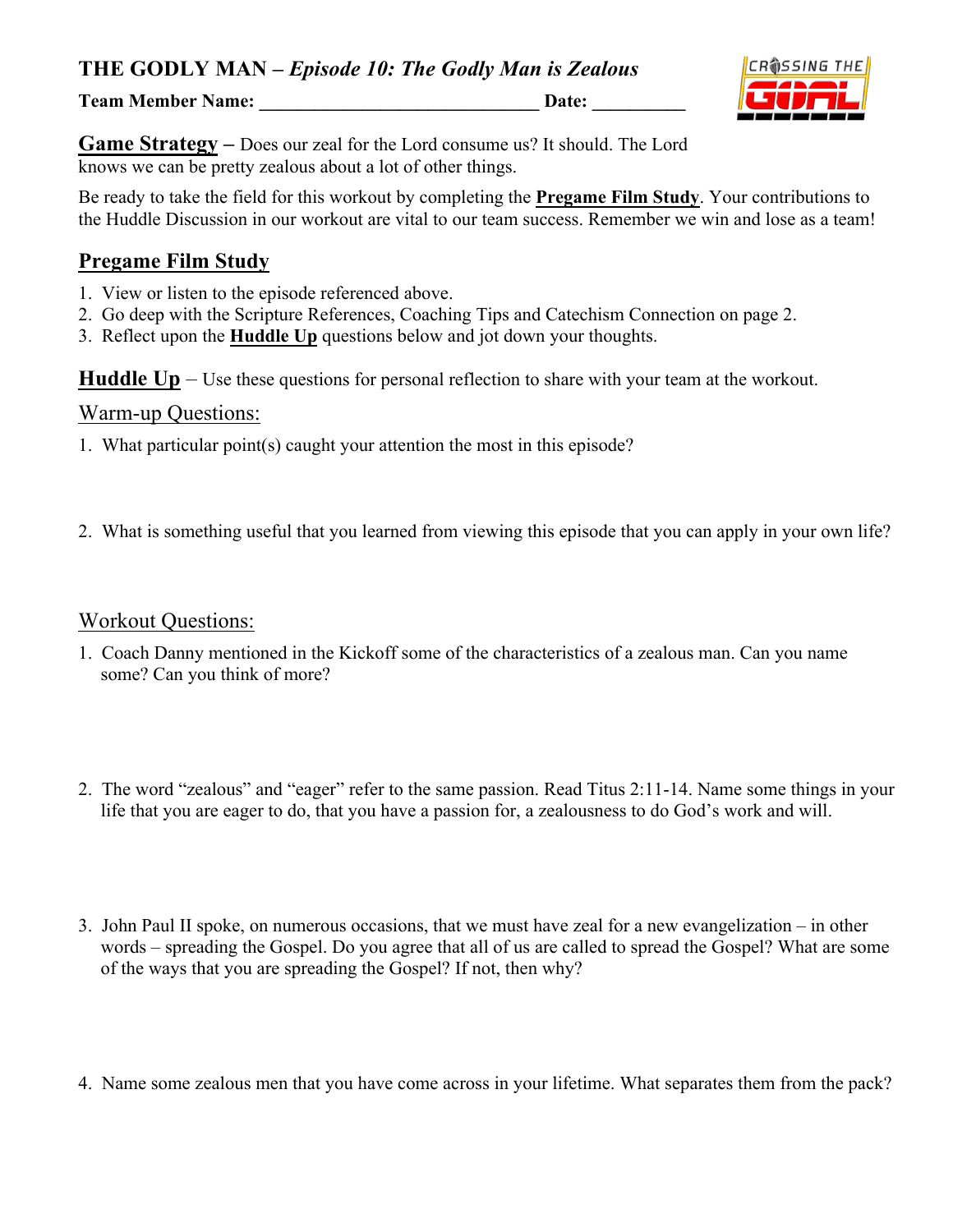**THE GODLY MAN –** *Episode 10: The Godly Man is Zealous*

**Team Member Name:** Date:



**Game Strategy –** Does our zeal for the Lord consume us? It should. The Lord knows we can be pretty zealous about a lot of other things.

Be ready to take the field for this workout by completing the **Pregame Film Study**. Your contributions to the Huddle Discussion in our workout are vital to our team success. Remember we win and lose as a team!

### **Pregame Film Study**

- 1. View or listen to the episode referenced above.
- 2. Go deep with the Scripture References, Coaching Tips and Catechism Connection on page 2.
- 3. Reflect upon the **Huddle Up** questions below and jot down your thoughts.

**Huddle Up** – Use these questions for personal reflection to share with your team at the workout.

#### Warm-up Questions:

- 1. What particular point(s) caught your attention the most in this episode?
- 2. What is something useful that you learned from viewing this episode that you can apply in your own life?

#### Workout Questions:

- 1. Coach Danny mentioned in the Kickoff some of the characteristics of a zealous man. Can you name some? Can you think of more?
- 2. The word "zealous" and "eager" refer to the same passion. Read Titus 2:11-14. Name some things in your life that you are eager to do, that you have a passion for, a zealousness to do God's work and will.
- 3. John Paul II spoke, on numerous occasions, that we must have zeal for a new evangelization in other words – spreading the Gospel. Do you agree that all of us are called to spread the Gospel? What are some of the ways that you are spreading the Gospel? If not, then why?
- 4. Name some zealous men that you have come across in your lifetime. What separates them from the pack?